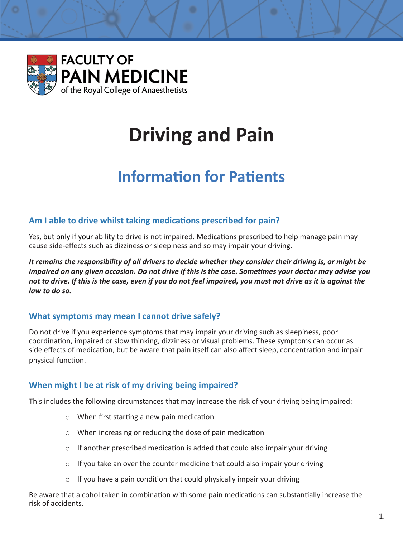

# **Driving and Pain**

## **Information for Patients**

#### **Am I able to drive whilst taking medications prescribed for pain?**

Yes, but only if your ability to drive is not impaired. Medications prescribed to help manage pain may cause side-effects such as dizziness or sleepiness and so may impair your driving.

*It remains the responsibility of all drivers to decide whether they consider their driving is, or might be impaired on any given occasion. Do not drive if this is the case. Sometimes your doctor may advise you not to drive. If this is the case, even if you do not feel impaired, you must not drive as it is against the law to do so.* 

#### **What symptoms may mean I cannot drive safely?**

Do not drive if you experience symptoms that may impair your driving such as sleepiness, poor coordination, impaired or slow thinking, dizziness or visual problems. These symptoms can occur as side effects of medication, but be aware that pain itself can also affect sleep, concentration and impair physical function.

#### **When might I be at risk of my driving being impaired?**

This includes the following circumstances that may increase the risk of your driving being impaired:

- o When first starting a new pain medication
- o When increasing or reducing the dose of pain medication
- o If another prescribed medication is added that could also impair your driving
- $\circ$  If you take an over the counter medicine that could also impair your driving
- $\circ$  If you have a pain condition that could physically impair your driving

Be aware that alcohol taken in combination with some pain medications can substantially increase the risk of accidents.